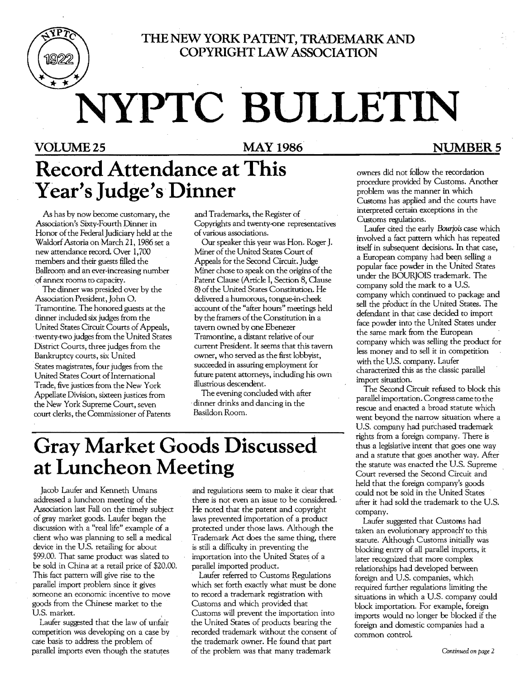

## **THE NEW YORK PATENT, TRADEMARK AND COPYRIGHT LAW ASSOCIATION**

# NYPTC BULLETIN

# **Record Attendance at This**  Year's Judge's Dinner

As has by now become customary, the Association's Sixty-Fourth Dinner in Honor of the Federal Judiciary held at the Waldorf Astoria on March 21, 1986 set a new attendance record. Over 1,700 members and their guests filled the Ballroom and an ever-increasing number of annex rooms to capacity.

The dinner was presided over by the Association President, John O. Tramontine. The honored guests at the dinner included six judges from the United States Circuit Courts of Appeals, . twenty-two judges from the United States District Courts, three judges from the Bankruptcy courts, six United States magistrates, four judges from the United States Court ofInternational Trade, five justices from the New York Appellate Division, sixteen justices from the New York Supreme Court, seven court clerks, the Commissioner of Patents

and Trademarks, the Register of Copyrights and twenty-one representatives of various associations.

Our speaker this year was Hon. Roger J. Miner of the United States Court of Appeals for the Second Circuit. Judge Miner chose to speak on the origins of the Patent Clause (Article I, Section 8, Clause 8) of the United States Constitution. He delivered a humorous, tongue-in-cheek account of the "after hours" meetings held by the framers of the Constitution in a taVern owned by one Ebenezer Tramontine, a distant relative of our current President. It seems that this tavern owner, who served as the first lobbyist, succeeded in assuring employment for future patent attorneys, including his own illustrious descendent.

The evening concluded with after . dinner drinks and dancing in the Basildon Room.

# **Gray Market Goods Discussed at Luncheon Meeting**

Jacob Laufer and Kenneth Umans addressed a luncheon meeting of the Association last Fall on the timely subject of gray market goods. Laufer began the discussion with a "real life" example of a client who was planning to sell a medical device in the U.S. retailing for about \$99.00. That same product was slated to be sold in China at a retail price of \$20.00. This fact pattern will give rise to the parallel import problem since it gives someone an economic incentive to move goods from the Chinese market to the US. market.

Laufer suggested that the law of unfair competition was developing on a case by case basis to address the problem of parallel imports even though the statutes

and regulations seem to make it clear that there is not even an issue to be considered. He noted that the patent and copyright laws prevented importation of a product protected under those laws. Although the Trademark Act does the same thing, there is still a difficulty in preventing the importation into the United States of a parallel imported product.

Laufer referred to Customs Regulations which set forth exactly what must be done to record a trademark registration with Customs and which provided that Customs will prevent the importation into the United States of products bearing the recorded trademark without the consent of the trademark owner. He found that part of the problem was that many trademark

## VOLUME 25 MAY 1986 NUMBER 5

owners did not follow the recordation procedure provided by Customs. Another problem was the manner in which Customs has applied and the courts have interpreted certain exceptions in the Customs regulations.

Laufer cited the early *Bourjois* case which involved a fact pattern which has repeated itself in subsequent decisions. In that case, a European company had been selling a popular face powder in the United States under the BOURJOIS trademark. The company sold the mark to a U.S. company which continued to package and sell the product in the United States. The defendant in that Case decided to import face powder into the United States under the same mark from the European comparw which was selling the product for less money and to sell it in competition with the US. company. Laufer characterized this as the classic parallel import situation.

The Second Circuit refused to block this parallel importation. Congress came to the rescue and enacted a broad statute which went beyond the narrow situation where a US. company had purchased trademark rights from a foreign company. There is thus a legislative intent that goes one way and a statute that goes another way. After the statute was enacted the U.S. Supreme Court reversed the Second Circuit and held that the foreign company's goods could not be sold in the United States after it had sold the trademark to the US. company.

Laufer suggested that Customs had taken an evolutionary approach to this statute. Although Customs initially was blocking entry of all parallel imports, it later recognized that more complex relationships had developed between foreign and U.S. companies, which required further regulations limiting the situations in which a U.S. company could block importation. For example, foreign imports would no longer be blocked if the foreign and domestic companies had a common control.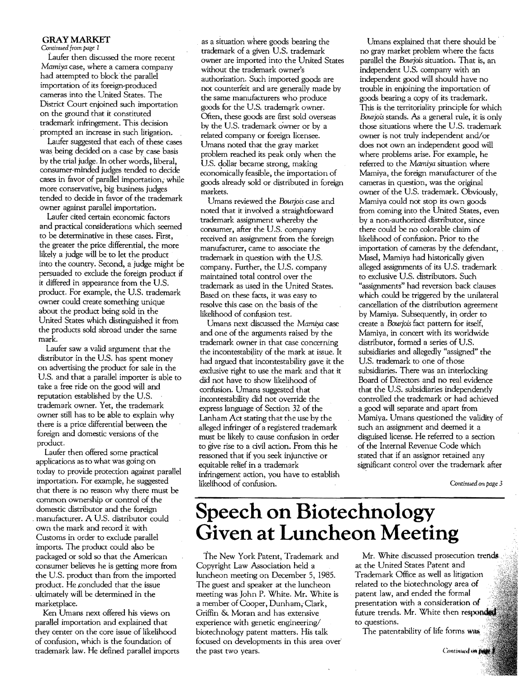#### GRAY MARKET

*Cantinued* from *page I* 

Laufer then discussed the more recent *Mamiya* case, where a camera company had attempted to block the parallel importation of its foreign-produced cameras into the United States. The District Court enjoined such importation on the ground that it constituted trademark infringement. This decision prompted an increase in such litigation.

Laufer suggested that each of these cases was being decided on a case by case basis by the trial judge. In other words, liberal, consumer-minded judges tended to decide cases in favor of parallel importation, while more conservative, big business judges tended to decide in favor of the trademark owner against parallel importation.

Laufer cited certain economic factors and practical considerations which seemed to be determinative in these cases. First, the greater the price differential, the more likely a judge will be to let the product into the country. Second, a-judge might be persuaded to exclude the foreign product if it differed in appearance from the US. product. For example, the US. trademark owner could create something unique about the product being sold in the United States which distinguished it from the products sold abroad under the same mark.

Laufer saw a valid argument that the distributor in the US. has spent money on advertising the product for sale in the US. and that a parallel importer is able to take a free ride on the good will and reputation established by the US. trademark owner. Yet, the trademark owner still has to be able to explain why there is a price differential between the foreign and domestic versions of the product.

Laufer then offered some practical applications as to what was going on today to provide protection against parallel importation. For example, he suggested that there is no reason why there must be common ownership or control of the domestic distributor and the foreign manufacturer. A U.S. distributor could own the mark and record it with Customs in order to exclude parallel imports. The product could also be packaged or sold so that the American consumer believes he is getting more from the US. product than from the imported product. He concluded that the issue . ultimately will be determined in the marketplace.

Ken-Umans next offered his views on parallel importation and explained that they center on the core issue of likelihood of confusion, which is the foundation of trademark law. He defined parallel imports

as a situation where goods bearing the trademark of a given U.S. trademark owner are imported into the United States without the trademark owner's authorization. Such imported goods are not counterfeit and are generally made by the same manufacturers who produce goods for the U.S. trademark owner. Often, these goods are first sold overseas by the US. trademark owner or by a related company or foreign licensee. Umans noted that the gray market problem reached its peak only when the US. dollar became strong, making economically feasible, the importation of goods already sold or distributed in foreign markets.

Umans reviewed the *Bourjois* case and noted that it involved a straightforward trademark assignment whereby the consumer, after the U.S. company received an assignment from the foreign manufacturer, came to associate the trademark in question with the US. company. Further, the U.S. company maintained total control over the trademark as used in the United States. Based on these facts, it was easy to resolve this case on the basis of the likelihood of confusion test.

Umans next discussed the *Mamiya* case and one of the arguments raised by the trademark owner in that case concerning the incontestability of the mark at issue. It had argued that incontestability gave it the exclusive right to use the mark and that it did not have to show likelihood of confusion. Umans suggested that incontestability did not override the express language of Section 32 of the Lanham Act stating that the use by the alleged infringer of a registered trademark must be likely to cause confusion in order to give rise to a civil action. From this he reasoned that if you seek injunctive or equitable relief in a trademark infringement action, you have to establish likelihood of confusion.

Umans explained that there should be no gray market problem where the facts parallel the *Bourjois* situation. That is, an independent U.S. company with an independent good will should have no trouble in enjoining the importation of goods bearing a copy of its trademark. This is the territoriality principle for which *Bourjois* stands. As a general rule, it is only those situations where the U.S. trademark owner is not truly independent and/or does not own an independent good will where problems arise. For example, he referred to the *Mamiya* situation where Mamiya, the foreign manufacturer of the cameras in question, was the original owner of the US. trademark. Obviously, Mamiya could not stop its own goods from coming into the United States, even by a non-authorized distributor, since there could be no colorable claim of likelihood of confusion. Prior to the importation of cameras by the defendant, . Masel, Mamiya had historically given alleged assignments of its U.S. trademark to exclusive US. distributors. Such "assignments" had reversion back clauses which could be triggered by the unilateral cancellation of the distribution agreement by Mamiya. Subsequently, in order to create a *Bourjois* fact pattern for itself, Mamiya, in concert with its worldwide distributor, formed a series of U.S. subsidiaries and allegedly "assigned" the US. trademark to one of those subsidiaries. There was an interlocking Board of Directors and no real evidence that the US. subsidiaries independently controlled the trademark or had achieved a good will separate and apart from Mamiya. Umans questioned the validity of such an assignment and deemed it a disguised license. He referred to a section of the Internal Revenue Code which stated that if an assignor retained any significant control over the trademark after

*Continued* on *page 3* 

# **Speech on Biotechnology Given at Luncheon Meeting**

The New York Patent, Trademark and Copyright Law Association held a luncheon meeting on December 5, 1985. The guest and speaker at the luncheon meeting was John P. White. Mr. White is a member of Cooper, Dunham, Clark, Griffin & Moran and has extensive experience with genetic engineering/ biotechnology patent marters. His talk focused on developments in this area over the past two years.

Mr. White discussed prosecution trends. at the United States Patent and Trademark Office as well as litigation related to the biotechnology area of patent law, and ended the formal presentation with a consideration of future trends. Mr. White then responded to questions.

The patentability of life forms was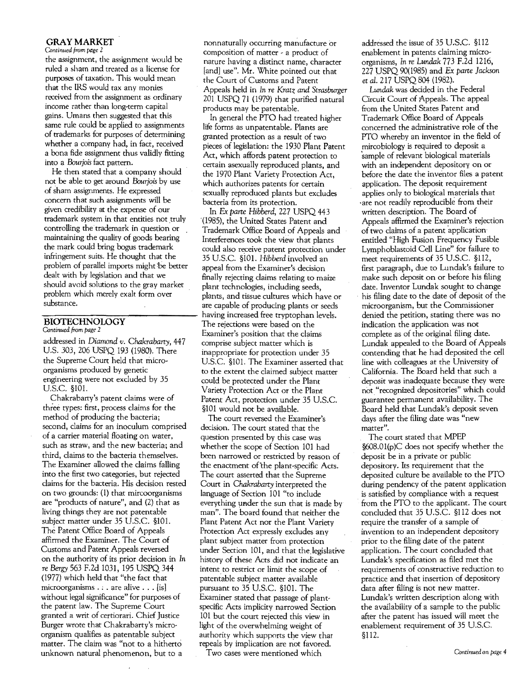#### GRAY MARKET

#### Continued from page 2

the assignment, the assignment would be ruled a sham and treated as a license for purposes of taxation. This would mean that the IRS would tax any monies received from the assignment as ordinary income rather than long-term capital gains. Umans then suggested that this same rule could be applied to assignments of trademarks for purposes of determining whether a company had, in fact, received a bona fide assignment thus validly fitting into a *Bourjois* fact pattern.

He then stated that a company should not be able to get around *Bourjois* by use of sham assignments. He expressed concern that such assignments will be given credibility at the expense of our trademark system in that entities not truly controlling the trademark in question or maintaining the quality of goods bearing the mark could bring bogus trademark infringement suits. He thought that the problem of parallel imports might be better dealt with by legislation and that we should avoid solutions to the gray market problem which merely exalt form over substance.

### **BIOTECHNOLOGY**

*Continued from page 2* 

addressed in *Diamond v. Chakrabarty,447*  US. 303, 206 USPQ 193 (1980). There the Supreme Court held that microorganisms produced by genetic engineering were not excluded by 35 US.c. §lOL

Chakrabarty's patent claims were of three types: first, process claims for the method of producing the bacteria; second, claims for an inoculum comprised of a carrier material floating on water, such as straw, and the new bacteria; and third, claims to the bacteria themselves. The Examiner allowed the claims falling into the first two categories, but rejected claims for the bacteria. His decision rested on two grounds: (1) that mircoorganisms are "products of nature". and (2) that as living things they are not patentable subject matter under 35 U.S.C. §101. The Patent Office Board of Appeals affirmed the Examiner. The Court of Customs and Patent Appeals reversed on the authority of its prior decision in In re *Bergy* 563 E2d 1031, 195 USPQ 344 (1977) which held that "the fact that microorganisms . ; . are alive . . . [isJ without legal significance" for purposes of the patent law. The Supreme Court granted a writ of certiorari. Chief Justice Burger wrote that Chakrabarty's microorganism qualifies as patentable subject matter. The claim was "not to a hitherto unknown natural phenomenon, but to a

nonnaturally occurring manufacture or composition of matter - a product of nature having a distinct name, character [and] use". Mr. White pointed out that the Court of Customs and Patent Appeals held in In re *Kratz and Strasburger*  201 USPQ 71 (1979) that purified natural products may be patentable.

In general the PTO had treated higher life forms as unpatentable. Plants are granted protection as a result of two pieces of legislation: the 1930 Plant Patent Act, which affords patent protection to certain asexually reproduced plants, and the 1970 Plant Variety Protection Act, which authorizes patents for certain sexually reproduced plants but excludes bacteria from its protection.

In Ex *parte Hibberd,* 227 USPQ 443 ·(1985), the United States Patent and Trademark Office Board of Appeals and Interferences took the view that plants could also receive patent protection under 35 US.c. §iOL *Hibberd* involved an appeal from the Examiner's decision finally rejecting claims relating to maize plant technologies, including seeds, plants, and tissue cultures which have or are capable of producing plants or seeds having increased free tryptophan levels. The rejections were based on the Examiner's position that the claims comprise subject matter which is inappropriate for protection under 35 US.c. §1OI. The Examiner asserted that to the extent the claimed subject matter could be protected under the Plant Variety Protection Act or the Plant Patent Act, protection under 35 U.S.C. §101 would not be available.

The court reversed the Examiner's decision. The court stated that the question presented by this case was whether the scope of Section 101 had been narrowed or restricted by reason of the enactment of the plant-specific Acts. The court asserted that the Supreme Court in *Chakrabarty* interpreted the language of Section 101 "to include everything under the sun that is made by man". The board found that neither the Plant Patent Act nor the Plant Variety Protection Act expressly excludes any plant subject matter from protection under Section 101, and that the.legislative history of these Acts did not indicate an intent to restrict or limit the scope of patentable subject matter available pursuant to 35 U.S.C. §101. The Examiner stated that passage of plantspecific Acts implicity narrowed Section 101 but the court rejected this view in light of the overwhelming weight of authority which supports the view that repeals by implication are not favored.

Two cases were mentioned which

addressed the issue of 35 US.c. §1l2 enablement in patents claiming microorganisms, In re *Lundak* 773 F.2d 1216, 227 USPQ 90(1985) and Ex *parte Jackson et at.* 217 USPQ 804 (1982).

*Lundak* was decided in the Federal Circuit Court of Appeals. The appeal from the United States Patent and Trademark Office Board of Appeals concerned the administrative role of the PTO whereby an inventor in the field of mircobiology is required to deposit a sample of relevant biological materials with an independent depository on or before the date the inventor files a patent application. The deposit requirement applies only to biological materials that 'are not readily reproducible from their written description. The Board of Appeals affirmed the Examiner's rejection of two claims of a patent application entitled "High Fusion Frequency Fusible Lymphoblastoid Cell Line" for failure to meet requirements of 35 U.S.C. §112, first paragraph, due to Lundak's failure to make such deposit on or before his filing date. Inventor Lundak sought to change . his filing date to the date of deposit of the microorganism, but the Commissioner denied the petition, stating there was no indication the application was not complete as of the original filing date. Lundak appealed to the Board of Appeals contending that he had deposited the cell line with colleagues at the University of California. The Board held that such a deposit was inadequate because they were not. "recognized depositories" which could guarantee permanent availability. The Board held that Lundak's deposit seven days after the filing date was "new matter".

The court stated that MPEP §608.01(p)C does not specify whether the deposit be in a private or public depository. Its requirement that the deposited culture be available to the PTO during pendency of the patent application is satisfied by compliance with a request from the PTO to the applicant. The court concluded that 35 U.S.C. §112 does not require the transfer of a sample of invention to an independent depository prior to the filing date of the patent application. The court concluded that Lundak's specification as filed met the requirements of constructive reduction to practice and that insertion of depository data after filing is not new matter. Lundak's written description along with the availability of a sample to the public after the patent has issued will meet the enablement requirement of 35 U.S.c. §1l2.